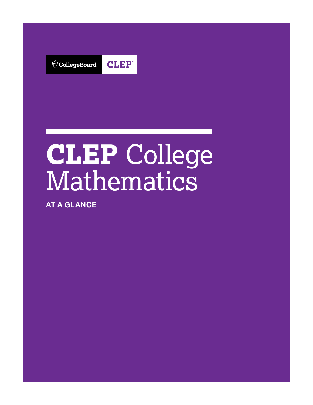**CLEP**®  $\bigcirc$  CollegeBoard

# **CLEP** College **Mathematics**

**AT A GLANCE**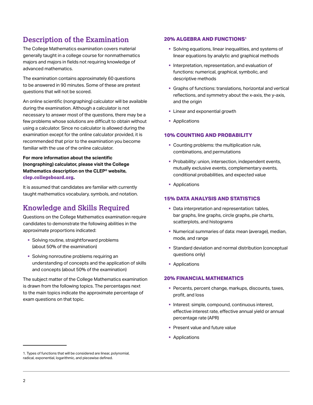# **Description of the Examination**

The College Mathematics examination covers material generally taught in a college course for nonmathematics majors and majors in fields not requiring knowledge of advanced mathematics.

The examination contains approximately 60 questions to be answered in 90 minutes. Some of these are pretest questions that will not be scored.

An online scientific (nongraphing) calculator will be available during the examination. Although a calculator is not necessary to answer most of the questions, there may be a few problems whose solutions are difficult to obtain without using a calculator. Since no calculator is allowed during the examination except for the online calculator provided, it is recommended that prior to the examination you become familiar with the use of the online calculator.

 **Mathematics description on the CLEP® website, For more information about the scientific (nongraphing) calculator, please visit the College clep.collegeboard.org.** 

It is assumed that candidates are familiar with currently taught mathematics vocabulary, symbols, and notation.

# **Knowledge and Skills Required**

Questions on the College Mathematics examination require candidates to demonstrate the following abilities in the approximate proportions indicated:

- Solving routine, straightforward problems (about 50% of the examination)
- Solving nonroutine problems requiring an understanding of concepts and the application of skills and concepts (about 50% of the examination)

The subject matter of the College Mathematics examination is drawn from the following topics. The percentages next to the main topics indicate the approximate percentage of exam questions on that topic.

#### **20% ALGEBRA AND FUNCTIONS1**

- § Solving equations, linear inequalities, and systems of linear equations by analytic and graphical methods
- § Interpretation, representation, and evaluation of functions: numerical, graphical, symbolic, and descriptive methods
- § Graphs of functions: translations, horizontal and vertical reflections, and symmetry about the x-axis, the y-axis, and the origin
- Linear and exponential growth
- Applications

#### **10% COUNTING AND PROBABILITY**

- Counting problems: the multiplication rule, combinations, and permutations
- § Probability: union, intersection, independent events, mutually exclusive events, complementary events, conditional probabilities, and expected value
- Applications

#### **15% DATA ANALYSIS AND STATISTICS**

- Data interpretation and representation: tables, bar graphs, line graphs, circle graphs, pie charts, scatterplots, and histograms
- § Numerical summaries of data: mean (average), median, mode, and range
- **Standard deviation and normal distribution (conceptual** questions only)
- Applications

#### **20% FINANCIAL MATHEMATICS**

- Percents, percent change, markups, discounts, taxes, profit, and loss
- § Interest: simple, compound, continuous interest, effective interest rate, effective annual yield or annual percentage rate (APR)
- Present value and future value
- § Applications

<sup>1.</sup> Types of functions that will be considered are linear, polynomial, radical, exponential, logarithmic, and piecewise defined.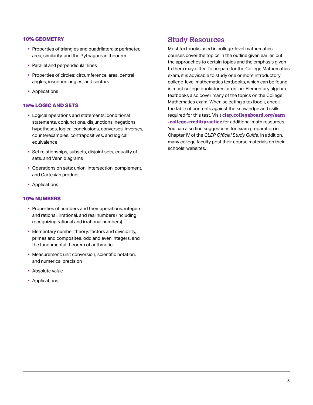#### **10% GEOMETRY**

- § Properties of triangles and quadrilaterals: perimeter, area, similarity, and the Pythagorean theorem
- § Parallel and perpendicular lines
- Properties of circles: circumference, area, central angles, inscribed angles, and sectors
- Applications

### **15% LOGIC AND SETS**

- Logical operations and statements: conditional statements, conjunctions, disjunctions, negations, hypotheses, logical conclusions, converses, inverses, counterexamples, contrapositives, and logical equivalence
- § Set relationships, subsets, disjoint sets, equality of sets, and Venn diagrams
- § Operations on sets: union, intersection, complement, and Cartesian product
- Applications

#### **10% NUMBERS**

- § Properties of numbers and their operations: integers and rational, irrational, and real numbers (including recognizing rational and irrational numbers)
- **Elementary number theory: factors and divisibility,** primes and composites, odd and even integers, and the fundamental theorem of arithmetic
- Measurement: unit conversion, scientific notation, and numerical precision
- § Absolute value
- § Applications

## **Study Resources**

Most textbooks used in college-level mathematics courses cover the topics in the outline given earlier, but the approaches to certain topics and the emphasis given to them may differ. To prepare for the College Mathematics exam, it is advisable to study one or more introductory college-level mathematics textbooks, which can be found in most college bookstores or online. Elementary algebra textbooks also cover many of the topics on the College Mathematics exam. When selecting a textbook, check the table of contents against the knowledge and skills required for this test. Visit **[clep.collegeboard.org/earn](https://clep.collegeboard.org/earn-college-credit/practice)  [-college-credit/practice](https://clep.collegeboard.org/earn-college-credit/practice)** for additional math resources. You can also find suggestions for exam preparation in Chapter IV of the *CLEP Official Study Guide*. In addition, many college faculty post their course materials on their schools' websites.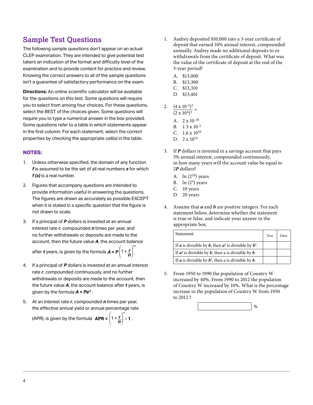# **Sample Test Questions** 1.

The following sample questions don't appear on an actual CLEP examination. They are intended to give potential test takers an indication of the format and difficulty level of the examination and to provide content for practice and review. Knowing the correct answers to all of the sample questions isn't a guarantee of satisfactory performance on the exam.

**Directions:** An online scientific calculator will be available  $\overline{D}$ , \$13,401 for the questions on this test. Some questions will require you to select from among four choices. For these questions, select the BEST of the choices given. Some questions will require you to type a numerical answer in the box provided. Some questions refer to a table in which statements appear in the first column. For each statement, select the correct properties by checking the appropriate cell(s) in the table.

- 1. Unless otherwise specified, the domain of any function *f* is assumed to be the set of all real numbers *x* for which  $f(x)$  is a real number.  $A. \ln(2^{20})$  years
- 2. Figures that accompany questions are intended to provide information useful in answering the questions. The figures are drawn as accurately as possible EXCEPT when it is stated in a specific question that the figure is not drawn to scale.
- a appropriate box. 3. If a principal of **P** dollars is invested at an annual appropriate box. interest rate *r*, compounded *n* times per year, and no further withdrawals or deposits are made to the account, then the future value *A*, the account balance

 $\left( \n\right)$ <sup>nt</sup> after *t* years, is given by the formula  $A = P\left(1 + \frac{r}{n}\right)$ .

- 4. If a principal of *P* dollars is invested at an annual interest rate *r*, compounded continuously, and no further withdrawals or deposits are made to the account, then the future value *A*, the account balance after *t* years, is given by the formula *A* **=** *Pert* .
- 5. At an interest rate *r*, compounded *n* times per year, the effective annual yield or annual percentage rate

(APR), is given by the formula **APR** = 
$$
\left(1 + \frac{r}{n}\right)^n
$$
 - 1.

- Audrey deposited \$10,000 into a 3-year certificate of deposit that earned 10% annual interest, compounded annually. Audrey made no additional deposits to or withdrawals from the certificate of deposit. What was the value of the certificate of deposit at the end of the 3-year period?
	- A. \$13,000
	- B. \$13,300
	- C. \$13,310
	-
- 2.  $\frac{(4 \times 10^{-5})^2}{(2 \times 10^6)^3}$  =
	- A. 2 x 10-28
	- B. 1.3 x 10-2
	- C.  $1.6 \times 10^{10}$
	- D.  $2 \times 10^{14}$
- **NOTES: NOTES: NOTES: 3.** If *P* dollars is invested in a savings account that pays 5% annual interest, compounded continuously, in how many years will the account value be equal to 2*P* dollars?
	-
	- B.  $\ln(2^5)$  years
	- C. 10 years
	- D. 20 years
	- 4. Assume that *a* and *b* are positive integers. For each statement below, determine whether the statement is true or false, and indicate your answer in the

| Statement                                                                 | True | False |
|---------------------------------------------------------------------------|------|-------|
| If <b>a</b> is divisible by <b>b</b> , then $a^2$ is divisible by $b^2$ . |      |       |
| If $a^2$ is divisible by <b>b</b> , then a is divisible by <b>b</b> .     |      |       |
| If <b>a</b> is divisible by $b^2$ , then a is divisible by <b>b</b> .     |      |       |

5. From 1950 to 1990 the population of Country W increased by 40%. From 1990 to 2012 the population of Country W increased by 10%. What is the percentage increase in the population of Country W from 1950 to 2012 ?

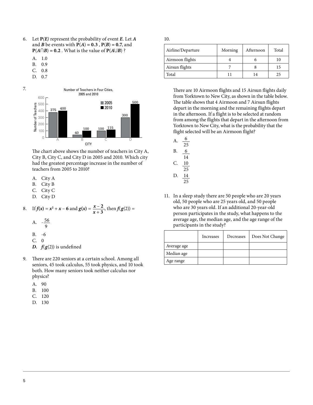- 6. Let **P***(E)* represent the probability of event *E*. Let *A* and *B* be events with  $P(A) = 0.3$ ,  $P(B) = 0.7$ , and  $P(A \cap B) = 0.2$ . What is the value of  $P(A \cup B)$ ?
	- A. 1.0
	- B. 0.9
	- C. 0.8
	- D. 0.7



The chart above shows the number of teachers in City A, City B, City C, and City D in 2005 and 2010. Which city had the greatest percentage increase in the number of teachers from 2005 to 2010?

- A. City A
- B. City B
- C. City C
- D. City D

8. If 
$$
f(x) = x^2 + x - 6
$$
 and  $g(x) = \frac{x-2}{x+3}$ , then  $f(g(2)) =$ 

- $-\frac{56}{9}$ A.
- 9
- B.  $-6$
- $C. 0$
- *D.*  $f(g(2))$  is undefined
- 9. There are 220 seniors at a certain school. Among all seniors, 45 took calculus, 55 took physics, and 10 took both. How many seniors took neither calculus nor physics?
	- A. 90
	- B. 100
	- C. 120
	- D. 130

| Airline/Departure | Morning | Afternoon | Total |
|-------------------|---------|-----------|-------|
| Airmoon flights   |         |           | 10    |
| Airsun flights    |         |           | 15    |
| Total             |         | 14        | 25    |

There are 10 Airmoon flights and 15 Airsun flights daily from Yorktown to New City, as shown in the table below. The table shows that 4 Airmoon and 7 Airsun flights depart in the morning and the remaining flights depart in the afternoon. If a flight is to be selected at random from among the flights that depart in the afternoon from Yorktown to New City, what is the probability that the flight selected will be an Airmoon flight?

- 6 25 6 A. B.
- 14 C.
- 10 25
- 14  $\frac{1}{25}$ D.
- 11. In a sleep study there are 50 people who are 20 years old, 50 people who are 25 years old, and 50 people who are 30 years old. If an additional 20-year-old person participates in the study, what happens to the average age, the median age, and the age range of the participants in the study?

|             | Increases | Decreases | Does Not Change |
|-------------|-----------|-----------|-----------------|
| Average age |           |           |                 |
| Median age  |           |           |                 |
| Age range   |           |           |                 |